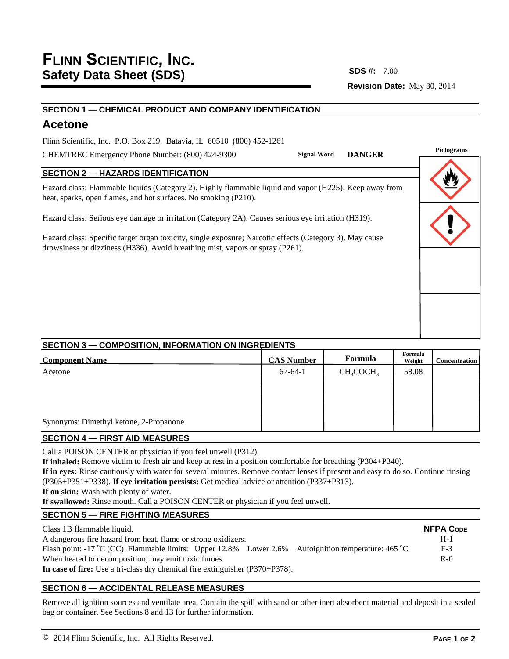**Revision Date:** May 30, 2014 **SDS #:**

## **SECTION 1 — CHEMICAL PRODUCT AND COMPANY IDENTIFICATION**

# **Acetone**

Flinn Scientific, Inc. P.O. Box 219, Batavia, IL 60510 (800) 452-1261

CHEMTREC Emergency Phone Number: (800) 424-9300

# **SECTION 2 — HAZARDS IDENTIFICATION**

Hazard class: Flammable liquids (Category 2). Highly flammable liquid and vapor (H225). Keep away from heat, sparks, open flames, and hot surfaces. No smoking (P210).

Hazard class: Serious eye damage or irritation (Category 2A). Causes serious eye irritation (H319).

Hazard class: Specific target organ toxicity, single exposure; Narcotic effects (Category 3). May cause drowsiness or dizziness (H336). Avoid breathing mist, vapors or spray (P261).



# **SECTION 3 — COMPOSITION, INFORMATION ON INGREDIENTS**

| <b>Component Name</b>                  | <b>CAS Number</b> | Formula      | Formula<br>Weight | <b>Concentration</b> |
|----------------------------------------|-------------------|--------------|-------------------|----------------------|
| Acetone                                | $67-64-1$         | $CH_3COCH_3$ | 58.08             |                      |
|                                        |                   |              |                   |                      |
|                                        |                   |              |                   |                      |
| Synonyms: Dimethyl ketone, 2-Propanone |                   |              |                   |                      |

#### **SECTION 4 — FIRST AID MEASURES**

Call a POISON CENTER or physician if you feel unwell (P312).

**If inhaled:** Remove victim to fresh air and keep at rest in a position comfortable for breathing (P304+P340).

**If in eyes:** Rinse cautiously with water for several minutes. Remove contact lenses if present and easy to do so. Continue rinsing (P305+P351+P338). **If eye irritation persists:** Get medical advice or attention (P337+P313).

**If on skin:** Wash with plenty of water.

**If swallowed:** Rinse mouth. Call a POISON CENTER or physician if you feel unwell.

# **SECTION 5 — FIRE FIGHTING MEASURES**

| Class 1B flammable liquid.                                                                         | <b>NFPA CODE</b> |
|----------------------------------------------------------------------------------------------------|------------------|
| A dangerous fire hazard from heat, flame or strong oxidizers.                                      | $H-1$            |
| Flash point: -17 °C (CC) Flammable limits: Upper 12.8% Lower 2.6% Autoignition temperature: 465 °C | $F-3$            |
| When heated to decomposition, may emit toxic fumes.                                                | $R-0$            |
| In case of fire: Use a tri-class dry chemical fire extinguisher $(P370+P378)$ .                    |                  |

# **SECTION 6 — ACCIDENTAL RELEASE MEASURES**

Remove all ignition sources and ventilate area. Contain the spill with sand or other inert absorbent material and deposit in a sealed bag or container. See Sections 8 and 13 for further information.